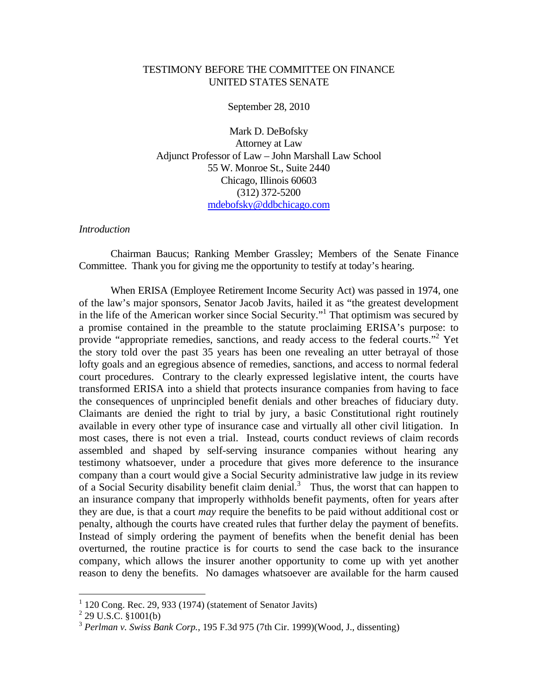# TESTIMONY BEFORE THE COMMITTEE ON FINANCE UNITED STATES SENATE

September 28, 2010

Mark D. DeBofsky Attorney at Law Adjunct Professor of Law – John Marshall Law School 55 W. Monroe St., Suite 2440 Chicago, Illinois 60603 (312) 372-5200 mdebofsky@ddbchicago.com

#### *Introduction*

 Chairman Baucus; Ranking Member Grassley; Members of the Senate Finance Committee. Thank you for giving me the opportunity to testify at today's hearing.

 When ERISA (Employee Retirement Income Security Act) was passed in 1974, one of the law's major sponsors, Senator Jacob Javits, hailed it as "the greatest development in the life of the American worker since Social Security."1 That optimism was secured by a promise contained in the preamble to the statute proclaiming ERISA's purpose: to provide "appropriate remedies, sanctions, and ready access to the federal courts."<sup>2</sup> Yet the story told over the past 35 years has been one revealing an utter betrayal of those lofty goals and an egregious absence of remedies, sanctions, and access to normal federal court procedures. Contrary to the clearly expressed legislative intent, the courts have transformed ERISA into a shield that protects insurance companies from having to face the consequences of unprincipled benefit denials and other breaches of fiduciary duty. Claimants are denied the right to trial by jury, a basic Constitutional right routinely available in every other type of insurance case and virtually all other civil litigation. In most cases, there is not even a trial. Instead, courts conduct reviews of claim records assembled and shaped by self-serving insurance companies without hearing any testimony whatsoever, under a procedure that gives more deference to the insurance company than a court would give a Social Security administrative law judge in its review of a Social Security disability benefit claim denial.<sup>3</sup> Thus, the worst that can happen to an insurance company that improperly withholds benefit payments, often for years after they are due, is that a court *may* require the benefits to be paid without additional cost or penalty, although the courts have created rules that further delay the payment of benefits. Instead of simply ordering the payment of benefits when the benefit denial has been overturned, the routine practice is for courts to send the case back to the insurance company, which allows the insurer another opportunity to come up with yet another reason to deny the benefits. No damages whatsoever are available for the harm caused

 $\overline{a}$ 

 $1$  120 Cong. Rec. 29, 933 (1974) (statement of Senator Javits)

 $^{2}$  29 U.S.C. §1001(b)

<sup>3</sup> *Perlman v. Swiss Bank Corp.,* 195 F.3d 975 (7th Cir. 1999)(Wood, J., dissenting)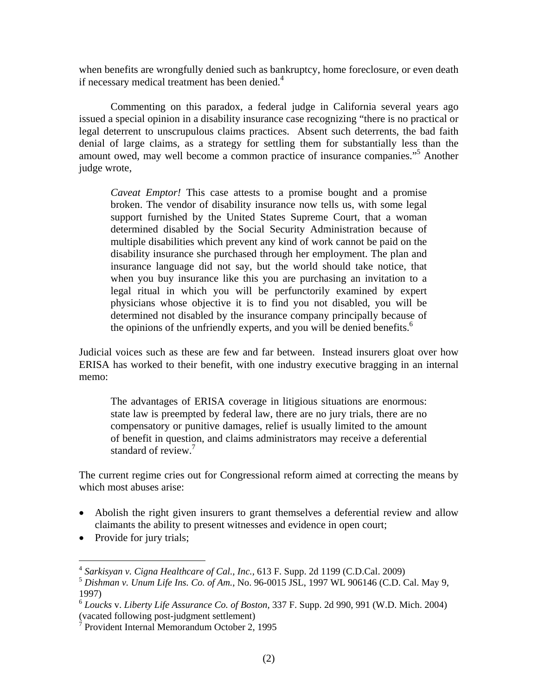when benefits are wrongfully denied such as bankruptcy, home foreclosure, or even death if necessary medical treatment has been denied.<sup>4</sup>

 Commenting on this paradox, a federal judge in California several years ago issued a special opinion in a disability insurance case recognizing "there is no practical or legal deterrent to unscrupulous claims practices. Absent such deterrents, the bad faith denial of large claims, as a strategy for settling them for substantially less than the amount owed, may well become a common practice of insurance companies."5 Another judge wrote,

*Caveat Emptor!* This case attests to a promise bought and a promise broken. The vendor of disability insurance now tells us, with some legal support furnished by the United States Supreme Court, that a woman determined disabled by the Social Security Administration because of multiple disabilities which prevent any kind of work cannot be paid on the disability insurance she purchased through her employment. The plan and insurance language did not say, but the world should take notice, that when you buy insurance like this you are purchasing an invitation to a legal ritual in which you will be perfunctorily examined by expert physicians whose objective it is to find you not disabled, you will be determined not disabled by the insurance company principally because of the opinions of the unfriendly experts, and you will be denied benefits.<sup>6</sup>

Judicial voices such as these are few and far between. Instead insurers gloat over how ERISA has worked to their benefit, with one industry executive bragging in an internal memo:

The advantages of ERISA coverage in litigious situations are enormous: state law is preempted by federal law, there are no jury trials, there are no compensatory or punitive damages, relief is usually limited to the amount of benefit in question, and claims administrators may receive a deferential standard of review.<sup>7</sup>

The current regime cries out for Congressional reform aimed at correcting the means by which most abuses arise:

- Abolish the right given insurers to grant themselves a deferential review and allow claimants the ability to present witnesses and evidence in open court;
- Provide for jury trials;

 $\overline{a}$ 

<sup>4</sup> *Sarkisyan v. Cigna Healthcare of Cal., Inc.,* 613 F. Supp. 2d 1199 (C.D.Cal. 2009)

<sup>5</sup> *Dishman v. Unum Life Ins. Co. of Am.,* No. 96-0015 JSL, 1997 WL 906146 (C.D. Cal. May 9, 1997)

<sup>6</sup> *Loucks* v. *Liberty Life Assurance Co. of Boston,* 337 F. Supp. 2d 990, 991 (W.D. Mich. 2004)

<sup>(</sup>vacated following post-judgment settlement) 7 Provident Internal Memorandum October 2, 1995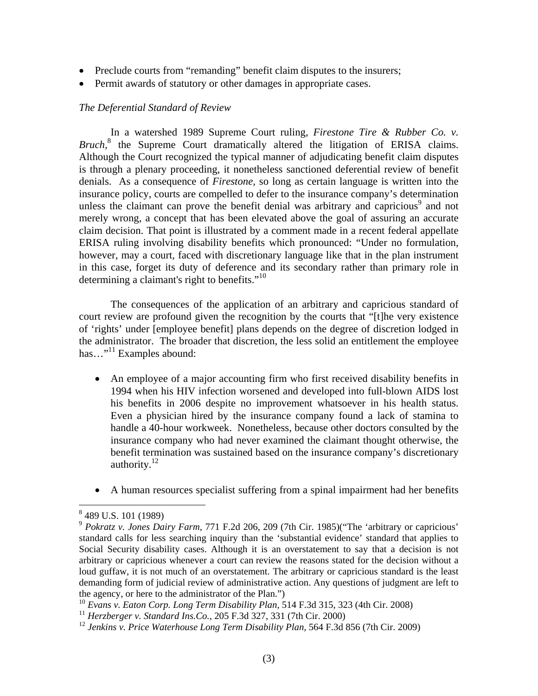- Preclude courts from "remanding" benefit claim disputes to the insurers;
- Permit awards of statutory or other damages in appropriate cases.

## *The Deferential Standard of Review*

 In a watershed 1989 Supreme Court ruling, *Firestone Tire & Rubber Co. v. Bruch,*<sup>8</sup> the Supreme Court dramatically altered the litigation of ERISA claims. Although the Court recognized the typical manner of adjudicating benefit claim disputes is through a plenary proceeding, it nonetheless sanctioned deferential review of benefit denials. As a consequence of *Firestone,* so long as certain language is written into the insurance policy, courts are compelled to defer to the insurance company's determination unless the claimant can prove the benefit denial was arbitrary and capricious $\degree$  and not merely wrong, a concept that has been elevated above the goal of assuring an accurate claim decision. That point is illustrated by a comment made in a recent federal appellate ERISA ruling involving disability benefits which pronounced: "Under no formulation, however, may a court, faced with discretionary language like that in the plan instrument in this case, forget its duty of deference and its secondary rather than primary role in determining a claimant's right to benefits."10

 The consequences of the application of an arbitrary and capricious standard of court review are profound given the recognition by the courts that "[t]he very existence of 'rights' under [employee benefit] plans depends on the degree of discretion lodged in the administrator. The broader that discretion, the less solid an entitlement the employee has..."<sup>11</sup> Examples abound:

- An employee of a major accounting firm who first received disability benefits in 1994 when his HIV infection worsened and developed into full-blown AIDS lost his benefits in 2006 despite no improvement whatsoever in his health status. Even a physician hired by the insurance company found a lack of stamina to handle a 40-hour workweek. Nonetheless, because other doctors consulted by the insurance company who had never examined the claimant thought otherwise, the benefit termination was sustained based on the insurance company's discretionary authority.<sup>12</sup>
- A human resources specialist suffering from a spinal impairment had her benefits

 8 489 U.S. 101 (1989)

<sup>9</sup> *Pokratz v. Jones Dairy Farm,* 771 F.2d 206, 209 (7th Cir. 1985)("The 'arbitrary or capricious' standard calls for less searching inquiry than the 'substantial evidence' standard that applies to Social Security disability cases. Although it is an overstatement to say that a decision is not arbitrary or capricious whenever a court can review the reasons stated for the decision without a loud guffaw, it is not much of an overstatement. The arbitrary or capricious standard is the least demanding form of judicial review of administrative action. Any questions of judgment are left to the agency, or here to the administrator of the Plan.")

<sup>10</sup> *Evans v. Eaton Corp. Long Term Disability Plan,* 514 F.3d 315, 323 (4th Cir. 2008)

<sup>11</sup> *Herzberger v. Standard Ins.Co.,* 205 F.3d 327, 331 (7th Cir. 2000)

<sup>&</sup>lt;sup>12</sup> Jenkins v. Price Waterhouse Long Term Disability Plan, 564 F.3d 856 (7th Cir. 2009)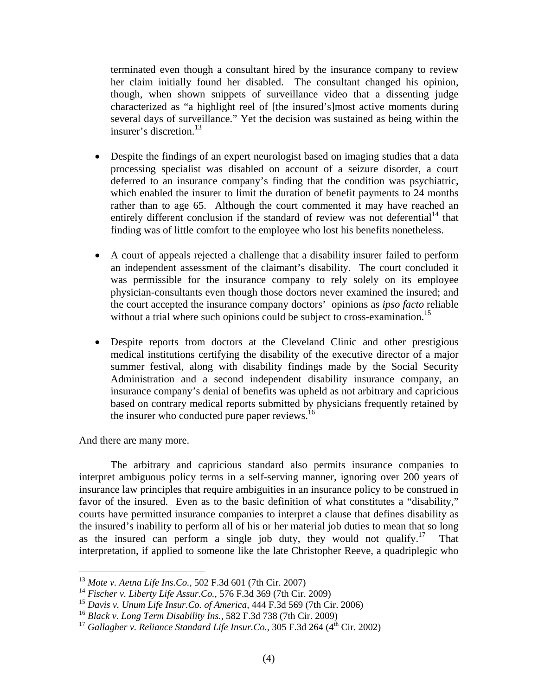terminated even though a consultant hired by the insurance company to review her claim initially found her disabled. The consultant changed his opinion, though, when shown snippets of surveillance video that a dissenting judge characterized as "a highlight reel of [the insured's]most active moments during several days of surveillance." Yet the decision was sustained as being within the insurer's discretion.<sup>13</sup>

- Despite the findings of an expert neurologist based on imaging studies that a data processing specialist was disabled on account of a seizure disorder, a court deferred to an insurance company's finding that the condition was psychiatric, which enabled the insurer to limit the duration of benefit payments to 24 months rather than to age 65. Although the court commented it may have reached an entirely different conclusion if the standard of review was not deferential  $14$  that finding was of little comfort to the employee who lost his benefits nonetheless.
- A court of appeals rejected a challenge that a disability insurer failed to perform an independent assessment of the claimant's disability. The court concluded it was permissible for the insurance company to rely solely on its employee physician-consultants even though those doctors never examined the insured; and the court accepted the insurance company doctors' opinions as *ipso facto* reliable without a trial where such opinions could be subject to cross-examination.<sup>15</sup>
- Despite reports from doctors at the Cleveland Clinic and other prestigious medical institutions certifying the disability of the executive director of a major summer festival, along with disability findings made by the Social Security Administration and a second independent disability insurance company, an insurance company's denial of benefits was upheld as not arbitrary and capricious based on contrary medical reports submitted by physicians frequently retained by the insurer who conducted pure paper reviews.<sup>16</sup>

And there are many more.

1

 The arbitrary and capricious standard also permits insurance companies to interpret ambiguous policy terms in a self-serving manner, ignoring over 200 years of insurance law principles that require ambiguities in an insurance policy to be construed in favor of the insured. Even as to the basic definition of what constitutes a "disability," courts have permitted insurance companies to interpret a clause that defines disability as the insured's inability to perform all of his or her material job duties to mean that so long as the insured can perform a single job duty, they would not qualify.<sup>17</sup> That interpretation, if applied to someone like the late Christopher Reeve, a quadriplegic who

<sup>13</sup> *Mote v. Aetna Life Ins.Co.,* 502 F.3d 601 (7th Cir. 2007)

<sup>14</sup> *Fischer v. Liberty Life Assur.Co.,* 576 F.3d 369 (7th Cir. 2009)

<sup>15</sup> *Davis v. Unum Life Insur.Co. of America,* 444 F.3d 569 (7th Cir. 2006)

<sup>16</sup> *Black v. Long Term Disability Ins.,* 582 F.3d 738 (7th Cir. 2009)

<sup>&</sup>lt;sup>17</sup> Gallagher v. Reliance Standard Life Insur.Co., 305 F.3d 264 ( $4^{\text{th}}$  Cir. 2002)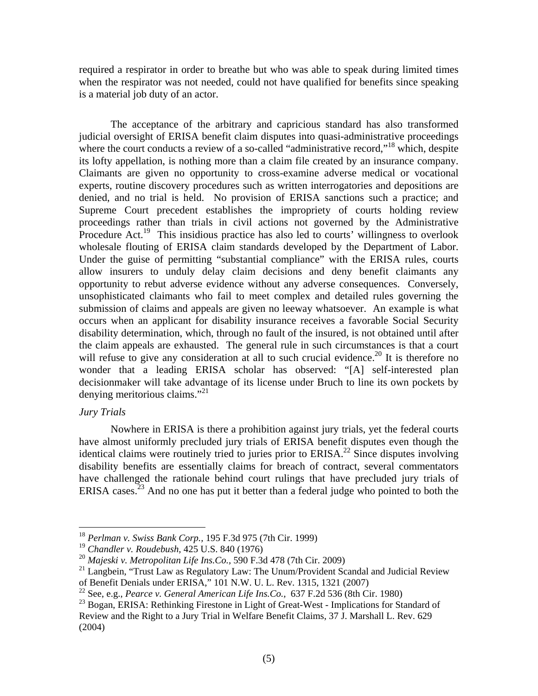required a respirator in order to breathe but who was able to speak during limited times when the respirator was not needed, could not have qualified for benefits since speaking is a material job duty of an actor.

 The acceptance of the arbitrary and capricious standard has also transformed judicial oversight of ERISA benefit claim disputes into quasi-administrative proceedings where the court conducts a review of a so-called "administrative record,"<sup>18</sup> which, despite its lofty appellation, is nothing more than a claim file created by an insurance company. Claimants are given no opportunity to cross-examine adverse medical or vocational experts, routine discovery procedures such as written interrogatories and depositions are denied, and no trial is held. No provision of ERISA sanctions such a practice; and Supreme Court precedent establishes the impropriety of courts holding review proceedings rather than trials in civil actions not governed by the Administrative Procedure Act.<sup>19</sup> This insidious practice has also led to courts' willingness to overlook wholesale flouting of ERISA claim standards developed by the Department of Labor. Under the guise of permitting "substantial compliance" with the ERISA rules, courts allow insurers to unduly delay claim decisions and deny benefit claimants any opportunity to rebut adverse evidence without any adverse consequences. Conversely, unsophisticated claimants who fail to meet complex and detailed rules governing the submission of claims and appeals are given no leeway whatsoever. An example is what occurs when an applicant for disability insurance receives a favorable Social Security disability determination, which, through no fault of the insured, is not obtained until after the claim appeals are exhausted. The general rule in such circumstances is that a court will refuse to give any consideration at all to such crucial evidence.<sup>20</sup> It is therefore no wonder that a leading ERISA scholar has observed: "[A] self-interested plan decisionmaker will take advantage of its license under Bruch to line its own pockets by denying meritorious claims."<sup>21</sup>

## *Jury Trials*

1

 Nowhere in ERISA is there a prohibition against jury trials, yet the federal courts have almost uniformly precluded jury trials of ERISA benefit disputes even though the identical claims were routinely tried to juries prior to  $ERISA<sup>22</sup>$  Since disputes involving disability benefits are essentially claims for breach of contract, several commentators have challenged the rationale behind court rulings that have precluded jury trials of ERISA cases.<sup>23</sup> And no one has put it better than a federal judge who pointed to both the

<sup>18</sup> *Perlman v. Swiss Bank Corp.,* 195 F.3d 975 (7th Cir. 1999)

<sup>19</sup> *Chandler v. Roudebush,* 425 U.S. 840 (1976)

<sup>20</sup> *Majeski v. Metropolitan Life Ins.Co.,* 590 F.3d 478 (7th Cir. 2009)

<sup>&</sup>lt;sup>21</sup> Langbein, "Trust Law as Regulatory Law: The Unum/Provident Scandal and Judicial Review of Benefit Denials under ERISA," 101 N.W. U. L. Rev. 1315, 1321 (2007)

<sup>22</sup> See, e.g., *Pearce v. General American Life Ins.Co.,* 637 F.2d 536 (8th Cir. 1980)

<sup>&</sup>lt;sup>23</sup> Bogan, ERISA: Rethinking Firestone in Light of Great-West - Implications for Standard of Review and the Right to a Jury Trial in Welfare Benefit Claims, 37 J. Marshall L. Rev. 629 (2004)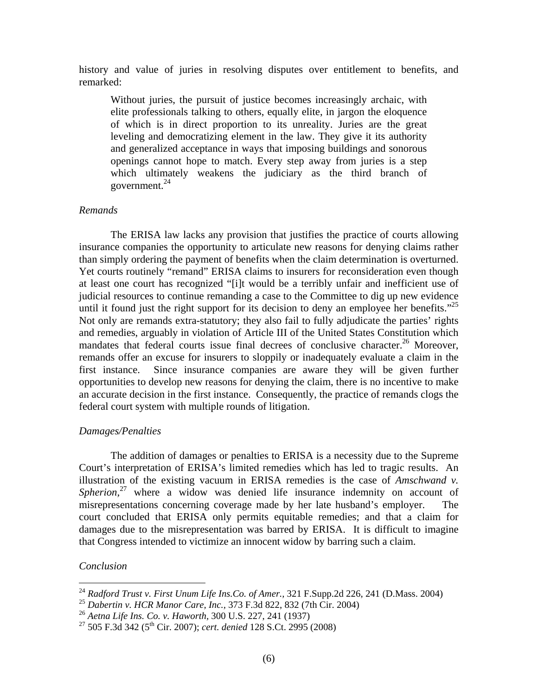history and value of juries in resolving disputes over entitlement to benefits, and remarked:

Without juries, the pursuit of justice becomes increasingly archaic, with elite professionals talking to others, equally elite, in jargon the eloquence of which is in direct proportion to its unreality. Juries are the great leveling and democratizing element in the law. They give it its authority and generalized acceptance in ways that imposing buildings and sonorous openings cannot hope to match. Every step away from juries is a step which ultimately weakens the judiciary as the third branch of government. $^{24}$ 

### *Remands*

 The ERISA law lacks any provision that justifies the practice of courts allowing insurance companies the opportunity to articulate new reasons for denying claims rather than simply ordering the payment of benefits when the claim determination is overturned. Yet courts routinely "remand" ERISA claims to insurers for reconsideration even though at least one court has recognized "[i]t would be a terribly unfair and inefficient use of judicial resources to continue remanding a case to the Committee to dig up new evidence until it found just the right support for its decision to deny an employee her benefits."<sup>25</sup> Not only are remands extra-statutory; they also fail to fully adjudicate the parties' rights and remedies, arguably in violation of Article III of the United States Constitution which mandates that federal courts issue final decrees of conclusive character.<sup>26</sup> Moreover, remands offer an excuse for insurers to sloppily or inadequately evaluate a claim in the first instance. Since insurance companies are aware they will be given further opportunities to develop new reasons for denying the claim, there is no incentive to make an accurate decision in the first instance. Consequently, the practice of remands clogs the federal court system with multiple rounds of litigation.

# *Damages/Penalties*

 The addition of damages or penalties to ERISA is a necessity due to the Supreme Court's interpretation of ERISA's limited remedies which has led to tragic results. An illustration of the existing vacuum in ERISA remedies is the case of *Amschwand v. Spherion*<sup>27</sup> where a widow was denied life insurance indemnity on account of misrepresentations concerning coverage made by her late husband's employer. The court concluded that ERISA only permits equitable remedies; and that a claim for damages due to the misrepresentation was barred by ERISA. It is difficult to imagine that Congress intended to victimize an innocent widow by barring such a claim.

# *Conclusion*

1

<sup>24</sup> *Radford Trust v. First Unum Life Ins.Co. of Amer.,* 321 F.Supp.2d 226, 241 (D.Mass. 2004)

<sup>25</sup> *Dabertin v. HCR Manor Care, Inc.,* 373 F.3d 822, 832 (7th Cir. 2004)

<sup>26</sup> *Aetna Life Ins. Co. v. Haworth,* 300 U.S. 227, 241 (1937)

<sup>27 505</sup> F.3d 342 (5th Cir. 2007); *cert. denied* 128 S.Ct. 2995 (2008)